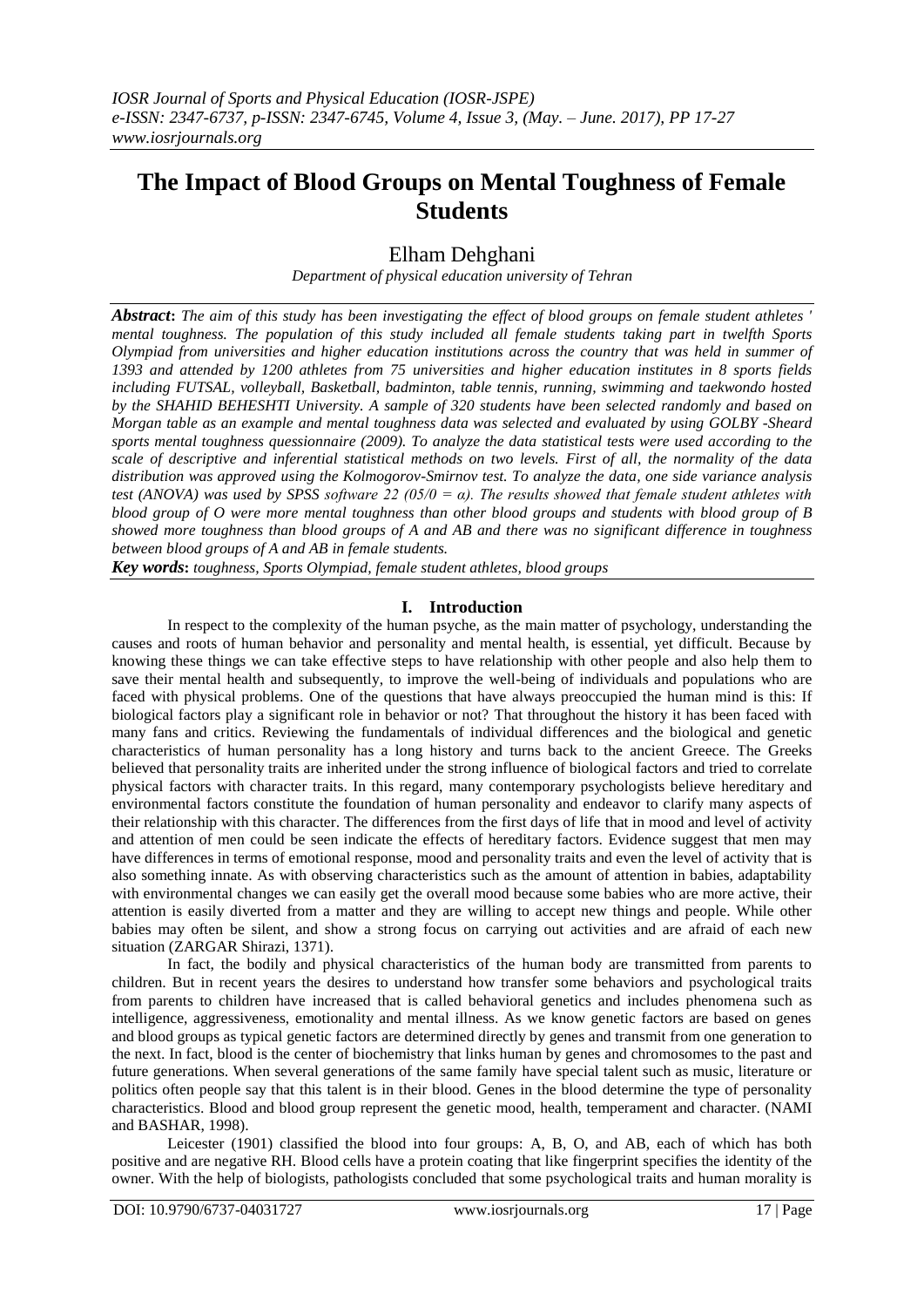# **The Impact of Blood Groups on Mental Toughness of Female Students**

## Elham Dehghani

*Department of physical education university of Tehran*

*Abstract***:** *The aim of this study has been investigating the effect of blood groups on female student athletes ' mental toughness. The population of this study included all female students taking part in twelfth Sports Olympiad from universities and higher education institutions across the country that was held in summer of 1393 and attended by 1200 athletes from 75 universities and higher education institutes in 8 sports fields including FUTSAL, volleyball, Basketball, badminton, table tennis, running, swimming and taekwondo hosted by the SHAHID BEHESHTI University. A sample of 320 students have been selected randomly and based on Morgan table as an example and mental toughness data was selected and evaluated by using GOLBY -Sheard sports mental toughness quessionnaire (2009). To analyze the data statistical tests were used according to the scale of descriptive and inferential statistical methods on two levels. First of all, the normality of the data distribution was approved using the Kolmogorov-Smirnov test. To analyze the data, one side variance analysis test (ANOVA) was used by SPSS software 22 (05/0 = α). The results showed that female student athletes with blood group of O were more mental toughness than other blood groups and students with blood group of B showed more toughness than blood groups of A and AB and there was no significant difference in toughness between blood groups of A and AB in female students.*

*Key words***:** *toughness, Sports Olympiad, female student athletes, blood groups*

## **I. Introduction**

In respect to the complexity of the human psyche, as the main matter of psychology, understanding the causes and roots of human behavior and personality and mental health, is essential, yet difficult. Because by knowing these things we can take effective steps to have relationship with other people and also help them to save their mental health and subsequently, to improve the well-being of individuals and populations who are faced with physical problems. One of the questions that have always preoccupied the human mind is this: If biological factors play a significant role in behavior or not? That throughout the history it has been faced with many fans and critics. Reviewing the fundamentals of individual differences and the biological and genetic characteristics of human personality has a long history and turns back to the ancient Greece. The Greeks believed that personality traits are inherited under the strong influence of biological factors and tried to correlate physical factors with character traits. In this regard, many contemporary psychologists believe hereditary and environmental factors constitute the foundation of human personality and endeavor to clarify many aspects of their relationship with this character. The differences from the first days of life that in mood and level of activity and attention of men could be seen indicate the effects of hereditary factors. Evidence suggest that men may have differences in terms of emotional response, mood and personality traits and even the level of activity that is also something innate. As with observing characteristics such as the amount of attention in babies, adaptability with environmental changes we can easily get the overall mood because some babies who are more active, their attention is easily diverted from a matter and they are willing to accept new things and people. While other babies may often be silent, and show a strong focus on carrying out activities and are afraid of each new situation (ZARGAR Shirazi, 1371).

In fact, the bodily and physical characteristics of the human body are transmitted from parents to children. But in recent years the desires to understand how transfer some behaviors and psychological traits from parents to children have increased that is called behavioral genetics and includes phenomena such as intelligence, aggressiveness, emotionality and mental illness. As we know genetic factors are based on genes and blood groups as typical genetic factors are determined directly by genes and transmit from one generation to the next. In fact, blood is the center of biochemistry that links human by genes and chromosomes to the past and future generations. When several generations of the same family have special talent such as music, literature or politics often people say that this talent is in their blood. Genes in the blood determine the type of personality characteristics. Blood and blood group represent the genetic mood, health, temperament and character. (NAMI and BASHAR, 1998).

Leicester (1901) classified the blood into four groups: A, B, O, and AB, each of which has both positive and are negative RH. Blood cells have a protein coating that like fingerprint specifies the identity of the owner. With the help of biologists, pathologists concluded that some psychological traits and human morality is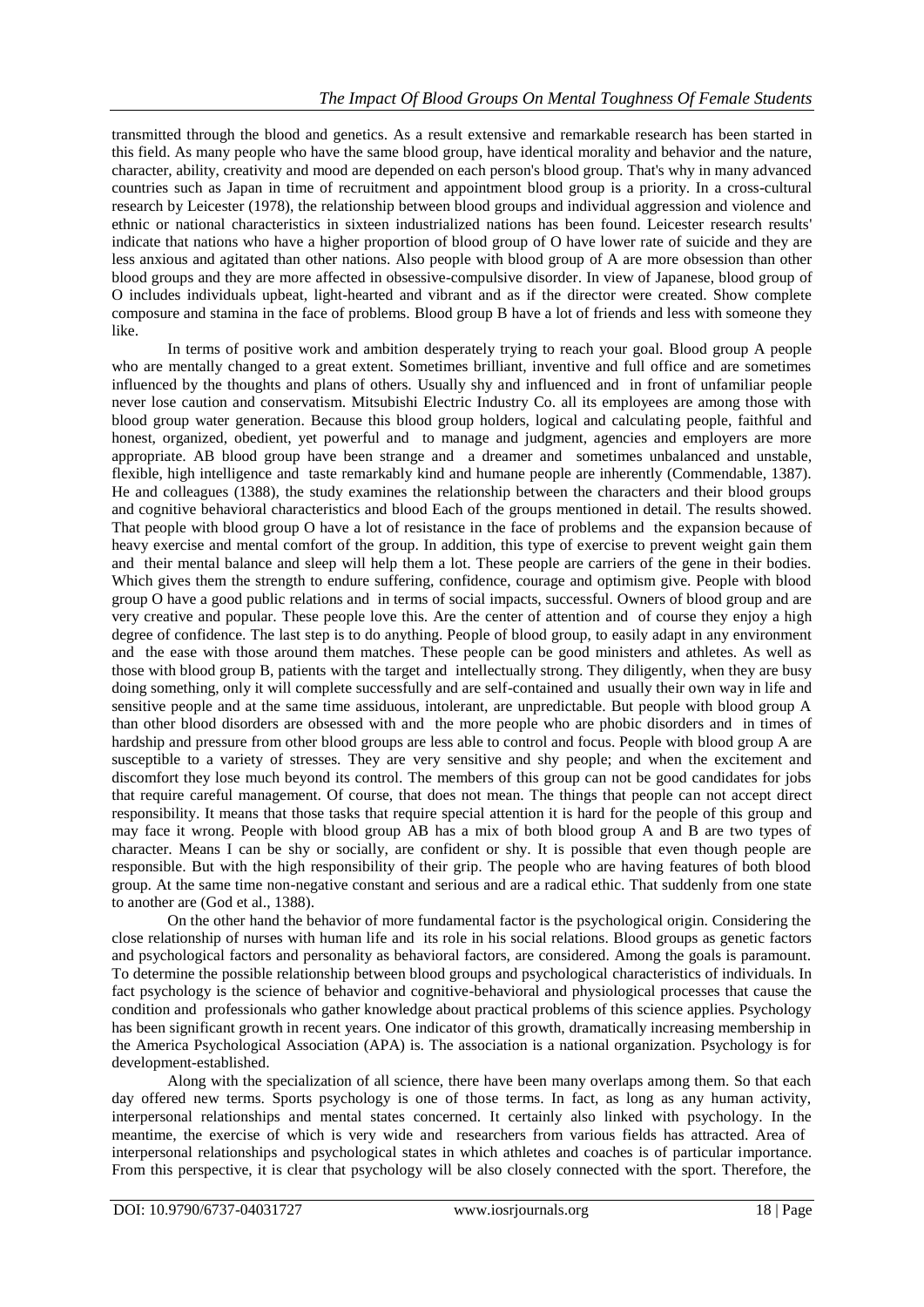transmitted through the blood and genetics. As a result extensive and remarkable research has been started in this field. As many people who have the same blood group, have identical morality and behavior and the nature, character, ability, creativity and mood are depended on each person's blood group. That's why in many advanced countries such as Japan in time of recruitment and appointment blood group is a priority. In a cross-cultural research by Leicester (1978), the relationship between blood groups and individual aggression and violence and ethnic or national characteristics in sixteen industrialized nations has been found. Leicester research results' indicate that nations who have a higher proportion of blood group of O have lower rate of suicide and they are less anxious and agitated than other nations. Also people with blood group of A are more obsession than other blood groups and they are more affected in obsessive-compulsive disorder. In view of Japanese, blood group of O includes individuals upbeat, light-hearted and vibrant and as if the director were created. Show complete composure and stamina in the face of problems. Blood group B have a lot of friends and less with someone they like.

In terms of positive work and ambition desperately trying to reach your goal. Blood group A people who are mentally changed to a great extent. Sometimes brilliant, inventive and full office and are sometimes influenced by the thoughts and plans of others. Usually shy and influenced and in front of unfamiliar people never lose caution and conservatism. Mitsubishi Electric Industry Co. all its employees are among those with blood group water generation. Because this blood group holders, logical and calculating people, faithful and honest, organized, obedient, yet powerful and to manage and judgment, agencies and employers are more appropriate. AB blood group have been strange and a dreamer and sometimes unbalanced and unstable, flexible, high intelligence and taste remarkably kind and humane people are inherently (Commendable, 1387). He and colleagues (1388), the study examines the relationship between the characters and their blood groups and cognitive behavioral characteristics and blood Each of the groups mentioned in detail. The results showed. That people with blood group O have a lot of resistance in the face of problems and the expansion because of heavy exercise and mental comfort of the group. In addition, this type of exercise to prevent weight gain them and their mental balance and sleep will help them a lot. These people are carriers of the gene in their bodies. Which gives them the strength to endure suffering, confidence, courage and optimism give. People with blood group O have a good public relations and in terms of social impacts, successful. Owners of blood group and are very creative and popular. These people love this. Are the center of attention and of course they enjoy a high degree of confidence. The last step is to do anything. People of blood group, to easily adapt in any environment and the ease with those around them matches. These people can be good ministers and athletes. As well as those with blood group B, patients with the target and intellectually strong. They diligently, when they are busy doing something, only it will complete successfully and are self-contained and usually their own way in life and sensitive people and at the same time assiduous, intolerant, are unpredictable. But people with blood group A than other blood disorders are obsessed with and the more people who are phobic disorders and in times of hardship and pressure from other blood groups are less able to control and focus. People with blood group A are susceptible to a variety of stresses. They are very sensitive and shy people; and when the excitement and discomfort they lose much beyond its control. The members of this group can not be good candidates for jobs that require careful management. Of course, that does not mean. The things that people can not accept direct responsibility. It means that those tasks that require special attention it is hard for the people of this group and may face it wrong. People with blood group AB has a mix of both blood group A and B are two types of character. Means I can be shy or socially, are confident or shy. It is possible that even though people are responsible. But with the high responsibility of their grip. The people who are having features of both blood group. At the same time non-negative constant and serious and are a radical ethic. That suddenly from one state to another are (God et al., 1388).

On the other hand the behavior of more fundamental factor is the psychological origin. Considering the close relationship of nurses with human life and its role in his social relations. Blood groups as genetic factors and psychological factors and personality as behavioral factors, are considered. Among the goals is paramount. To determine the possible relationship between blood groups and psychological characteristics of individuals. In fact psychology is the science of behavior and cognitive-behavioral and physiological processes that cause the condition and professionals who gather knowledge about practical problems of this science applies. Psychology has been significant growth in recent years. One indicator of this growth, dramatically increasing membership in the America Psychological Association (APA) is. The association is a national organization. Psychology is for development-established.

Along with the specialization of all science, there have been many overlaps among them. So that each day offered new terms. Sports psychology is one of those terms. In fact, as long as any human activity, interpersonal relationships and mental states concerned. It certainly also linked with psychology. In the meantime, the exercise of which is very wide and researchers from various fields has attracted. Area of interpersonal relationships and psychological states in which athletes and coaches is of particular importance. From this perspective, it is clear that psychology will be also closely connected with the sport. Therefore, the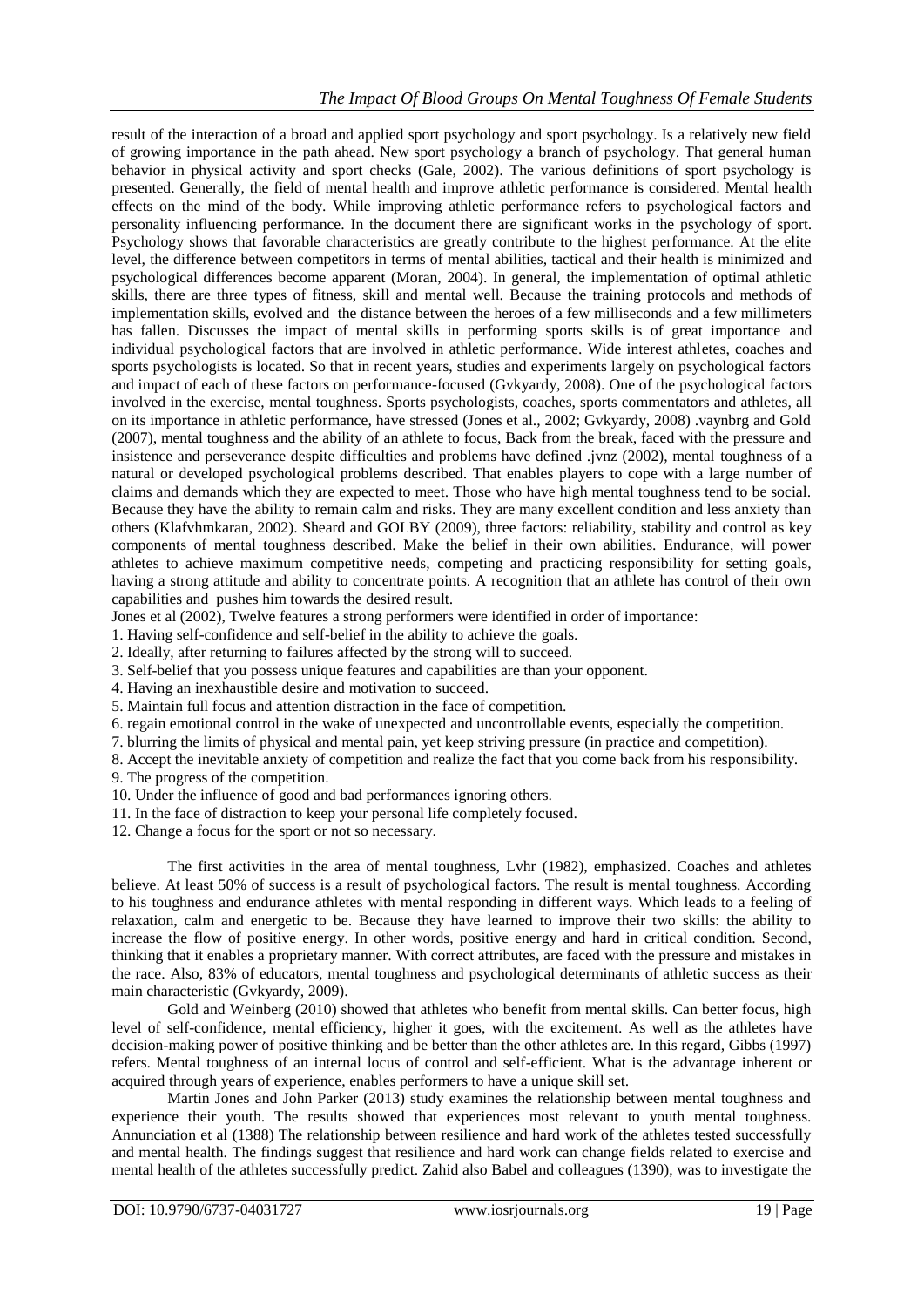result of the interaction of a broad and applied sport psychology and sport psychology. Is a relatively new field of growing importance in the path ahead. New sport psychology a branch of psychology. That general human behavior in physical activity and sport checks (Gale, 2002). The various definitions of sport psychology is presented. Generally, the field of mental health and improve athletic performance is considered. Mental health effects on the mind of the body. While improving athletic performance refers to psychological factors and personality influencing performance. In the document there are significant works in the psychology of sport. Psychology shows that favorable characteristics are greatly contribute to the highest performance. At the elite level, the difference between competitors in terms of mental abilities, tactical and their health is minimized and psychological differences become apparent (Moran, 2004). In general, the implementation of optimal athletic skills, there are three types of fitness, skill and mental well. Because the training protocols and methods of implementation skills, evolved and the distance between the heroes of a few milliseconds and a few millimeters has fallen. Discusses the impact of mental skills in performing sports skills is of great importance and individual psychological factors that are involved in athletic performance. Wide interest athletes, coaches and sports psychologists is located. So that in recent years, studies and experiments largely on psychological factors and impact of each of these factors on performance-focused (Gvkyardy, 2008). One of the psychological factors involved in the exercise, mental toughness. Sports psychologists, coaches, sports commentators and athletes, all on its importance in athletic performance, have stressed (Jones et al., 2002; Gvkyardy, 2008) .vaynbrg and Gold (2007), mental toughness and the ability of an athlete to focus, Back from the break, faced with the pressure and insistence and perseverance despite difficulties and problems have defined .jvnz (2002), mental toughness of a natural or developed psychological problems described. That enables players to cope with a large number of claims and demands which they are expected to meet. Those who have high mental toughness tend to be social. Because they have the ability to remain calm and risks. They are many excellent condition and less anxiety than others (Klafvhmkaran, 2002). Sheard and GOLBY (2009), three factors: reliability, stability and control as key components of mental toughness described. Make the belief in their own abilities. Endurance, will power athletes to achieve maximum competitive needs, competing and practicing responsibility for setting goals, having a strong attitude and ability to concentrate points. A recognition that an athlete has control of their own capabilities and pushes him towards the desired result.

Jones et al (2002), Twelve features a strong performers were identified in order of importance:

1. Having self-confidence and self-belief in the ability to achieve the goals.

2. Ideally, after returning to failures affected by the strong will to succeed.

3. Self-belief that you possess unique features and capabilities are than your opponent.

4. Having an inexhaustible desire and motivation to succeed.

5. Maintain full focus and attention distraction in the face of competition.

6. regain emotional control in the wake of unexpected and uncontrollable events, especially the competition.

7. blurring the limits of physical and mental pain, yet keep striving pressure (in practice and competition).

8. Accept the inevitable anxiety of competition and realize the fact that you come back from his responsibility. 9. The progress of the competition.

10. Under the influence of good and bad performances ignoring others.

11. In the face of distraction to keep your personal life completely focused.

12. Change a focus for the sport or not so necessary.

The first activities in the area of mental toughness, Lvhr (1982), emphasized. Coaches and athletes believe. At least 50% of success is a result of psychological factors. The result is mental toughness. According to his toughness and endurance athletes with mental responding in different ways. Which leads to a feeling of relaxation, calm and energetic to be. Because they have learned to improve their two skills: the ability to increase the flow of positive energy. In other words, positive energy and hard in critical condition. Second, thinking that it enables a proprietary manner. With correct attributes, are faced with the pressure and mistakes in the race. Also, 83% of educators, mental toughness and psychological determinants of athletic success as their main characteristic (Gvkyardy, 2009).

Gold and Weinberg (2010) showed that athletes who benefit from mental skills. Can better focus, high level of self-confidence, mental efficiency, higher it goes, with the excitement. As well as the athletes have decision-making power of positive thinking and be better than the other athletes are. In this regard, Gibbs (1997) refers. Mental toughness of an internal locus of control and self-efficient. What is the advantage inherent or acquired through years of experience, enables performers to have a unique skill set.

Martin Jones and John Parker (2013) study examines the relationship between mental toughness and experience their youth. The results showed that experiences most relevant to youth mental toughness. Annunciation et al (1388) The relationship between resilience and hard work of the athletes tested successfully and mental health. The findings suggest that resilience and hard work can change fields related to exercise and mental health of the athletes successfully predict. Zahid also Babel and colleagues (1390), was to investigate the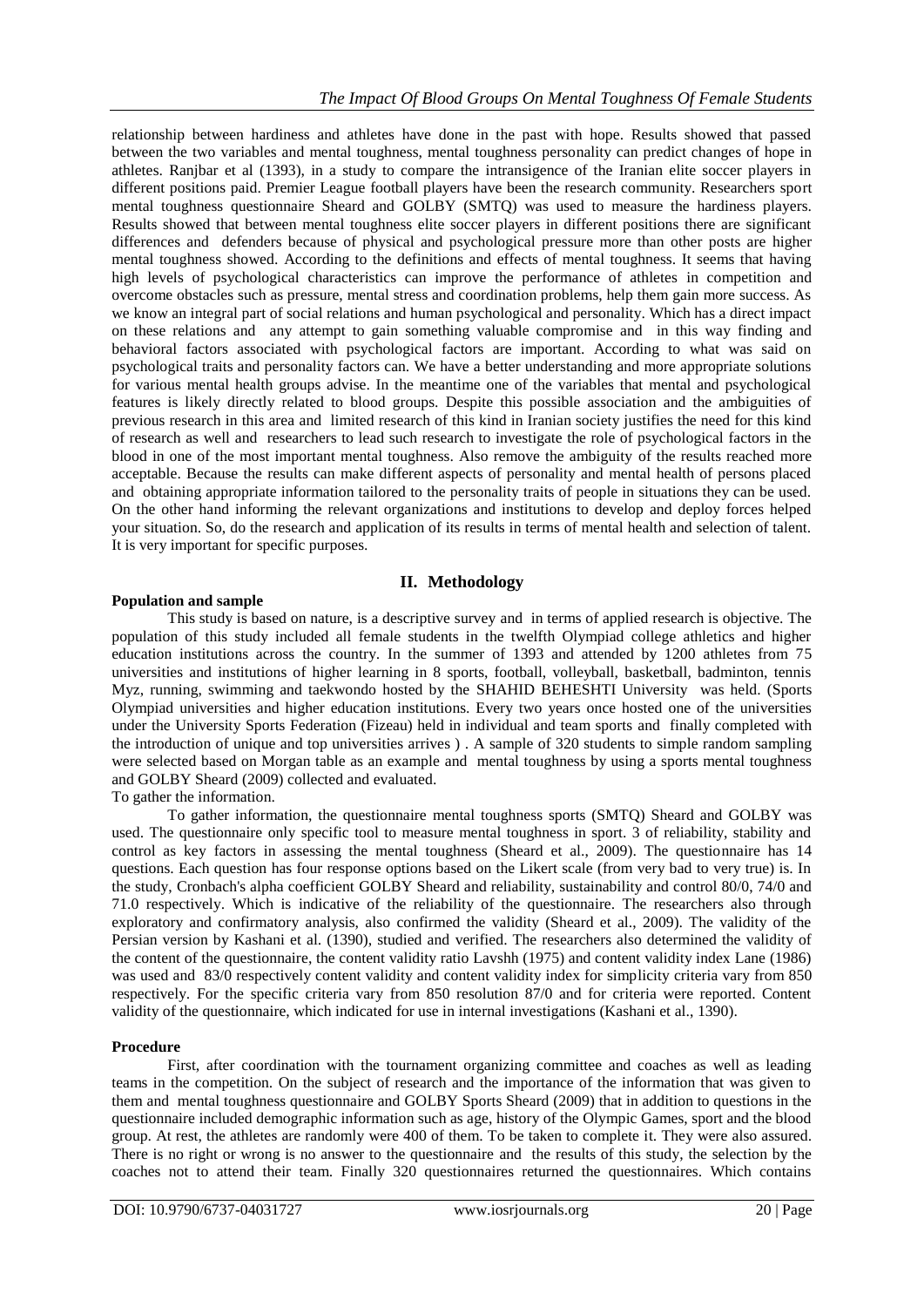relationship between hardiness and athletes have done in the past with hope. Results showed that passed between the two variables and mental toughness, mental toughness personality can predict changes of hope in athletes. Ranjbar et al (1393), in a study to compare the intransigence of the Iranian elite soccer players in different positions paid. Premier League football players have been the research community. Researchers sport mental toughness questionnaire Sheard and GOLBY (SMTQ) was used to measure the hardiness players. Results showed that between mental toughness elite soccer players in different positions there are significant differences and defenders because of physical and psychological pressure more than other posts are higher mental toughness showed. According to the definitions and effects of mental toughness. It seems that having high levels of psychological characteristics can improve the performance of athletes in competition and overcome obstacles such as pressure, mental stress and coordination problems, help them gain more success. As we know an integral part of social relations and human psychological and personality. Which has a direct impact on these relations and any attempt to gain something valuable compromise and in this way finding and behavioral factors associated with psychological factors are important. According to what was said on psychological traits and personality factors can. We have a better understanding and more appropriate solutions for various mental health groups advise. In the meantime one of the variables that mental and psychological features is likely directly related to blood groups. Despite this possible association and the ambiguities of previous research in this area and limited research of this kind in Iranian society justifies the need for this kind of research as well and researchers to lead such research to investigate the role of psychological factors in the blood in one of the most important mental toughness. Also remove the ambiguity of the results reached more acceptable. Because the results can make different aspects of personality and mental health of persons placed and obtaining appropriate information tailored to the personality traits of people in situations they can be used. On the other hand informing the relevant organizations and institutions to develop and deploy forces helped your situation. So, do the research and application of its results in terms of mental health and selection of talent. It is very important for specific purposes.

## **II. Methodology**

## **Population and sample**

This study is based on nature, is a descriptive survey and in terms of applied research is objective. The population of this study included all female students in the twelfth Olympiad college athletics and higher education institutions across the country. In the summer of 1393 and attended by 1200 athletes from 75 universities and institutions of higher learning in 8 sports, football, volleyball, basketball, badminton, tennis Myz, running, swimming and taekwondo hosted by the SHAHID BEHESHTI University was held. (Sports Olympiad universities and higher education institutions. Every two years once hosted one of the universities under the University Sports Federation (Fizeau) held in individual and team sports and finally completed with the introduction of unique and top universities arrives ) . A sample of 320 students to simple random sampling were selected based on Morgan table as an example and mental toughness by using a sports mental toughness and GOLBY Sheard (2009) collected and evaluated.

To gather the information.

To gather information, the questionnaire mental toughness sports (SMTQ) Sheard and GOLBY was used. The questionnaire only specific tool to measure mental toughness in sport. 3 of reliability, stability and control as key factors in assessing the mental toughness (Sheard et al., 2009). The questionnaire has 14 questions. Each question has four response options based on the Likert scale (from very bad to very true) is. In the study, Cronbach's alpha coefficient GOLBY Sheard and reliability, sustainability and control 80/0, 74/0 and 71.0 respectively. Which is indicative of the reliability of the questionnaire. The researchers also through exploratory and confirmatory analysis, also confirmed the validity (Sheard et al., 2009). The validity of the Persian version by Kashani et al. (1390), studied and verified. The researchers also determined the validity of the content of the questionnaire, the content validity ratio Lavshh (1975) and content validity index Lane (1986) was used and 83/0 respectively content validity and content validity index for simplicity criteria vary from 850 respectively. For the specific criteria vary from 850 resolution 87/0 and for criteria were reported. Content validity of the questionnaire, which indicated for use in internal investigations (Kashani et al., 1390).

## **Procedure**

First, after coordination with the tournament organizing committee and coaches as well as leading teams in the competition. On the subject of research and the importance of the information that was given to them and mental toughness questionnaire and GOLBY Sports Sheard (2009) that in addition to questions in the questionnaire included demographic information such as age, history of the Olympic Games, sport and the blood group. At rest, the athletes are randomly were 400 of them. To be taken to complete it. They were also assured. There is no right or wrong is no answer to the questionnaire and the results of this study, the selection by the coaches not to attend their team. Finally 320 questionnaires returned the questionnaires. Which contains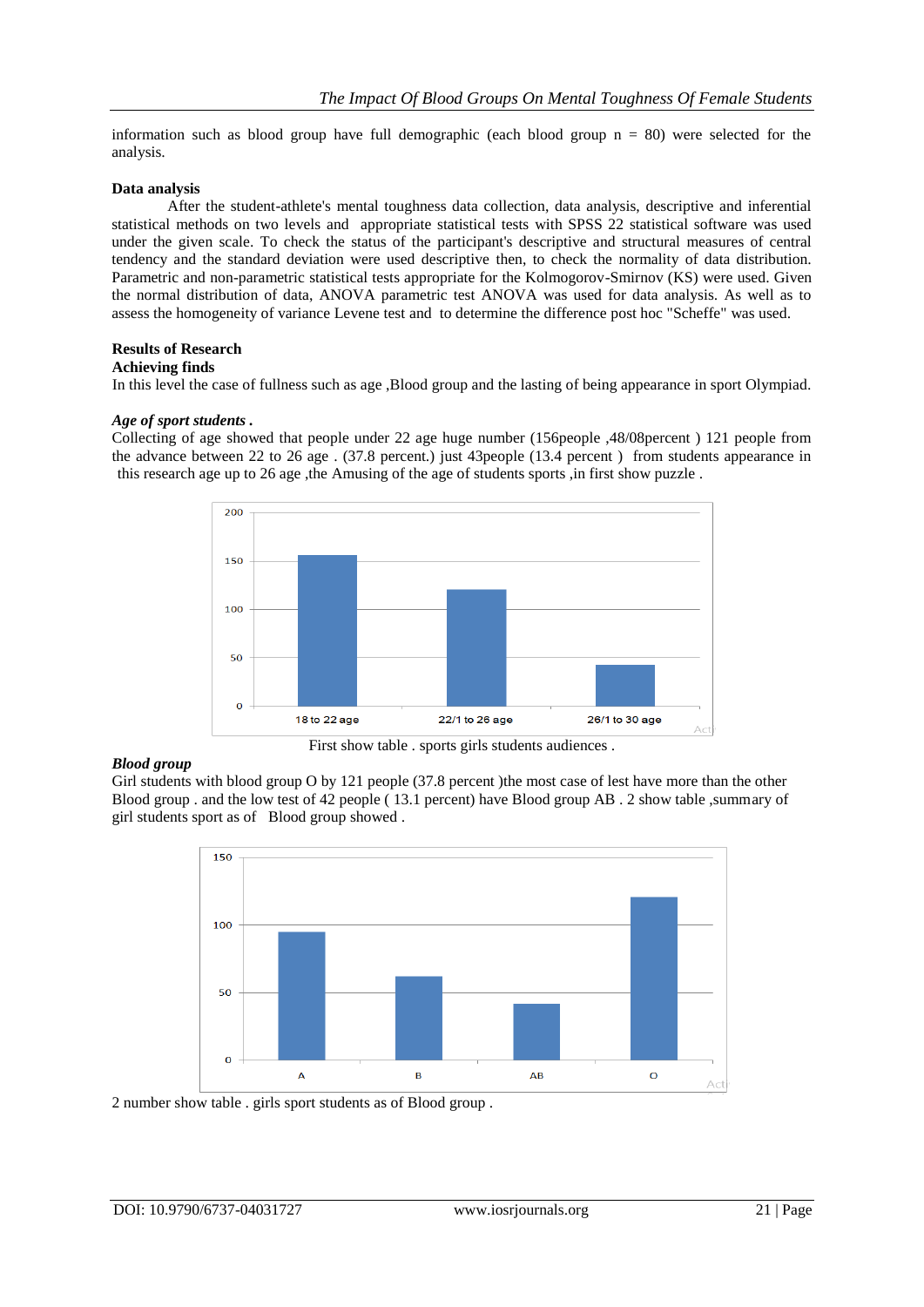information such as blood group have full demographic (each blood group  $n = 80$ ) were selected for the analysis.

## **Data analysis**

After the student-athlete's mental toughness data collection, data analysis, descriptive and inferential statistical methods on two levels and appropriate statistical tests with SPSS 22 statistical software was used under the given scale. To check the status of the participant's descriptive and structural measures of central tendency and the standard deviation were used descriptive then, to check the normality of data distribution. Parametric and non-parametric statistical tests appropriate for the Kolmogorov-Smirnov (KS) were used. Given the normal distribution of data, ANOVA parametric test ANOVA was used for data analysis. As well as to assess the homogeneity of variance Levene test and to determine the difference post hoc "Scheffe" was used.

## **Results of Research**

#### **Achieving finds**

In this level the case of fullness such as age ,Blood group and the lasting of being appearance in sport Olympiad.

#### *Age of sport students .*

Collecting of age showed that people under 22 age huge number (156people ,48/08percent ) 121 people from the advance between 22 to 26 age . (37.8 percent.) just 43people (13.4 percent ) from students appearance in this research age up to 26 age ,the Amusing of the age of students sports ,in first show puzzle.



#### *Blood group*

Girl students with blood group O by 121 people (37.8 percent )the most case of lest have more than the other Blood group . and the low test of 42 people ( 13.1 percent) have Blood group AB . 2 show table ,summary of girl students sport as of Blood group showed .



2 number show table . girls sport students as of Blood group .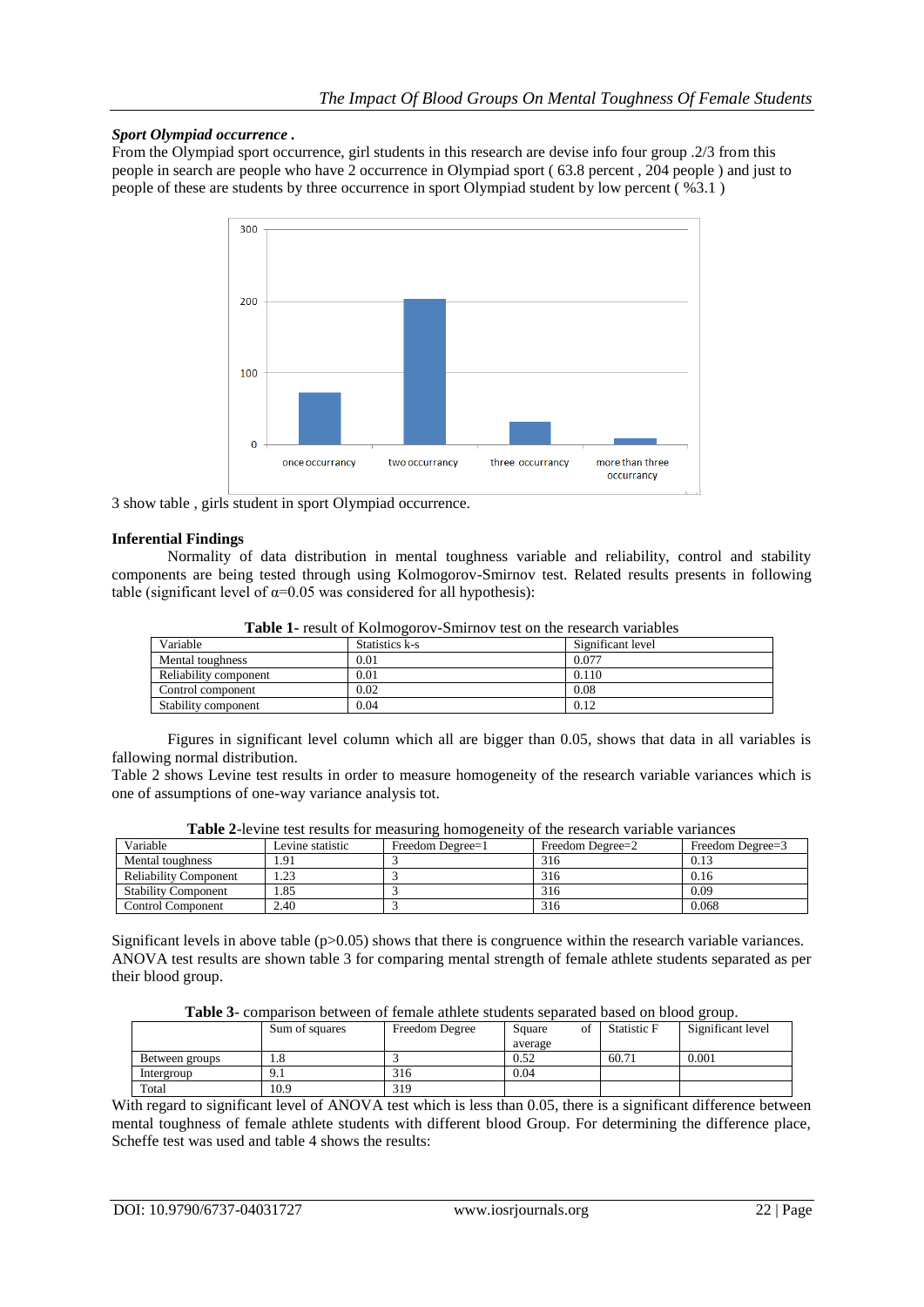## *Sport Olympiad occurrence .*

From the Olympiad sport occurrence, girl students in this research are devise info four group .2/3 from this people in search are people who have 2 occurrence in Olympiad sport ( 63.8 percent , 204 people ) and just to people of these are students by three occurrence in sport Olympiad student by low percent ( %3.1 )



3 show table , girls student in sport Olympiad occurrence.

#### **Inferential Findings**

Normality of data distribution in mental toughness variable and reliability, control and stability components are being tested through using Kolmogorov-Smirnov test. Related results presents in following table (significant level of  $\alpha$ =0.05 was considered for all hypothesis):

| Variable              | Statistics k-s | Significant level |
|-----------------------|----------------|-------------------|
| Mental toughness      | 0.01           | 0.077             |
| Reliability component | 0.01           | 0.110             |
| Control component     | 0.02           | 0.08              |
| Stability component   | 0.04           | 0.12              |

**Table 1-** result of Kolmogorov-Smirnov test on the research variables

Figures in significant level column which all are bigger than 0.05, shows that data in all variables is fallowing normal distribution.

Table 2 shows Levine test results in order to measure homogeneity of the research variable variances which is one of assumptions of one-way variance analysis tot.

| <b>THUICE</b> TO THE ROLLOGHES TOT HIGHGHTHE HOHIOECHCHY OF HIGHCHOHI VALIMORY VALIMINGS |                  |                  |                  |                  |  |  |
|------------------------------------------------------------------------------------------|------------------|------------------|------------------|------------------|--|--|
| Variable                                                                                 | Levine statistic | Freedom Degree=1 | Freedom Degree=2 | Freedom Degree=3 |  |  |
| Mental toughness                                                                         | .91              |                  | 316              | 0.13             |  |  |
| <b>Reliability Component</b>                                                             | .23              |                  | 316              | 0.16             |  |  |
| <b>Stability Component</b>                                                               | .85              |                  | 316              | 0.09             |  |  |
| <b>Control Component</b>                                                                 | 2.40             |                  | 316              | 0.068            |  |  |

**Table 2**-levine test results for measuring homogeneity of the research variable variances

Significant levels in above table  $(p>0.05)$  shows that there is congruence within the research variable variances. ANOVA test results are shown table 3 for comparing mental strength of female athlete students separated as per their blood group.

**Table 3**- comparison between of female athlete students separated based on blood group.

| -------<br>A A TITLE AT THE LARGE AT THE AND THE RELEASED AND A LARGE THAT ARE A LARGE AT A LARGE WAY OF THE A MAIN LARGE |                |                |         |    |                    |                   |
|---------------------------------------------------------------------------------------------------------------------------|----------------|----------------|---------|----|--------------------|-------------------|
|                                                                                                                           | Sum of squares | Freedom Degree | Square  | of | <b>Statistic F</b> | Significant level |
|                                                                                                                           |                |                | average |    |                    |                   |
| Between groups                                                                                                            | 1.8            |                | 0.52    |    | 60.71              | 0.001             |
| Intergroup                                                                                                                | .              | 316            | 0.04    |    |                    |                   |
| Total                                                                                                                     | 10.9           | 319            |         |    |                    |                   |

With regard to significant level of ANOVA test which is less than 0.05, there is a significant difference between mental toughness of female athlete students with different blood Group. For determining the difference place, Scheffe test was used and table 4 shows the results: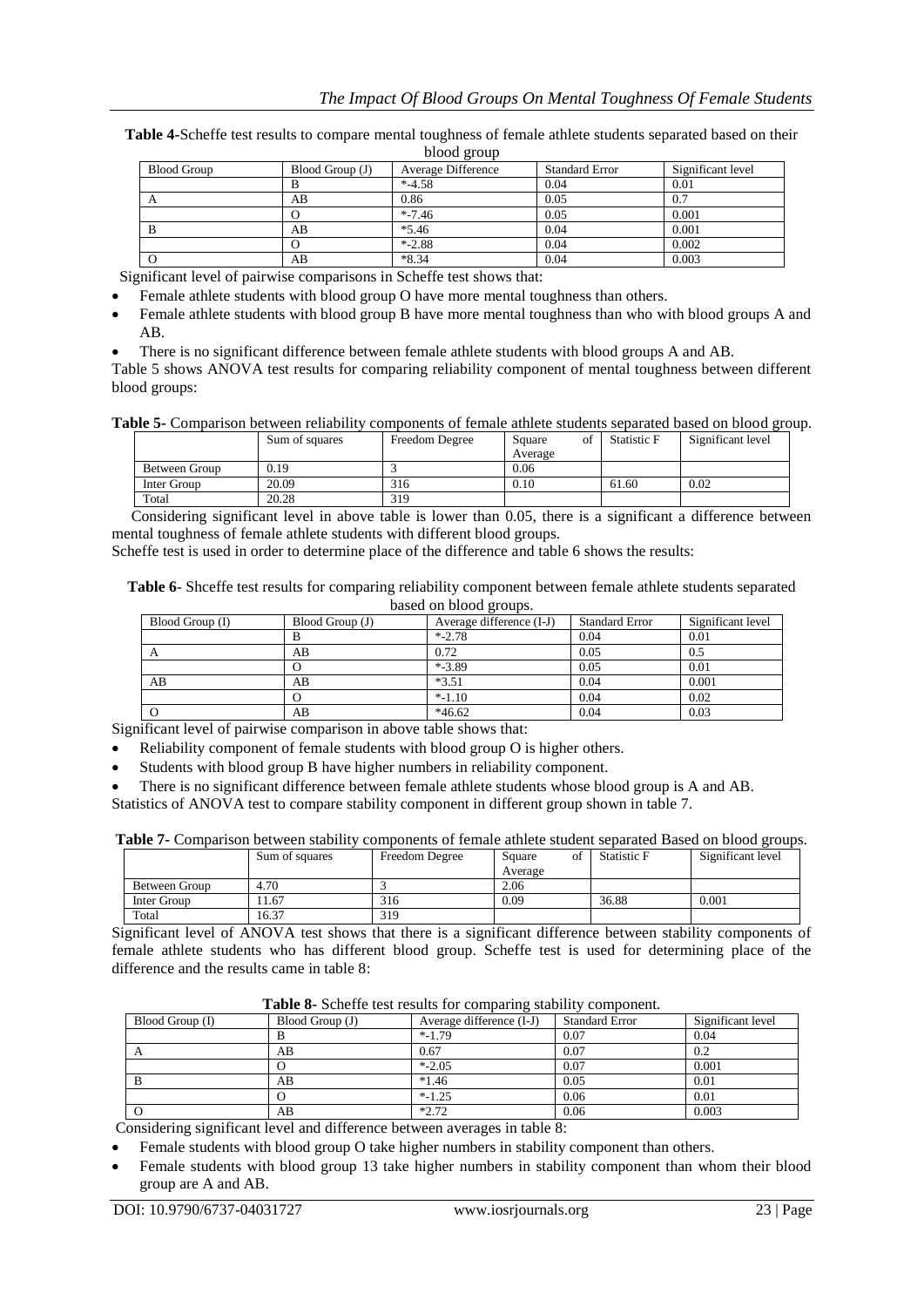| Table 4-Scheffe test results to compare mental toughness of female athlete students separated based on their |
|--------------------------------------------------------------------------------------------------------------|
| blood group                                                                                                  |

| <b>Blood Group</b> | Blood Group (J) | Average Difference | <b>Standard Error</b> | Significant level |
|--------------------|-----------------|--------------------|-----------------------|-------------------|
|                    | В               | $* -4.58$          | 0.04                  | 0.01              |
|                    | AВ              | 0.86               | 0.05                  | 0.7               |
|                    | O               | $* - 7.46$         | 0.05                  | 0.001             |
| B                  | AВ              | $*5.46$            | 0.04                  | 0.001             |
|                    | 0               | $* -2.88$          | 0.04                  | 0.002             |
|                    | AB              | $*8.34$            | 0.04                  | 0.003             |
|                    |                 |                    |                       |                   |

Significant level of pairwise comparisons in Scheffe test shows that:

- Female athlete students with blood group O have more mental toughness than others.
- Female athlete students with blood group B have more mental toughness than who with blood groups A and AB.
- There is no significant difference between female athlete students with blood groups A and AB.

Table 5 shows ANOVA test results for comparing reliability component of mental toughness between different blood groups:

**Table 5-** Comparison between reliability components of female athlete students separated based on blood group.

|               | Sum of squares | Freedom Degree | Square<br>ΩŤ | Statistic F | Significant level |
|---------------|----------------|----------------|--------------|-------------|-------------------|
|               |                |                | Average      |             |                   |
| Between Group | 0.19           |                | 0.06         |             |                   |
| Inter Group   | 20.09          | 316            | 0.10         | 61.60       | 0.02              |
| Total         | 20.28          | 319            |              |             |                   |

 Considering significant level in above table is lower than 0.05, there is a significant a difference between mental toughness of female athlete students with different blood groups.

Scheffe test is used in order to determine place of the difference and table 6 shows the results:

**Table 6**- Shceffe test results for comparing reliability component between female athlete students separated based on blood groups.

| Blood Group (I) | Blood Group (J) | Average difference (I-J) | <b>Standard Error</b> | Significant level |
|-----------------|-----------------|--------------------------|-----------------------|-------------------|
|                 |                 | $* - 2.78$               | 0.04                  | 0.01              |
|                 | AB              | 0.72                     | 0.05                  | 0.5               |
|                 |                 | $* - 3.89$               | 0.05                  | 0.01              |
| AB              | AB              | $*3.51$                  | 0.04                  | 0.001             |
|                 |                 | $* - 1.10$               | 0.04                  | 0.02              |
|                 | AВ              | $*46.62$                 | 0.04                  | 0.03              |

Significant level of pairwise comparison in above table shows that:

- Reliability component of female students with blood group O is higher others.
- Students with blood group B have higher numbers in reliability component.

 There is no significant difference between female athlete students whose blood group is A and AB. Statistics of ANOVA test to compare stability component in different group shown in table 7.

|  |  |  |  | Table 7- Comparison between stability components of female athlete student separated Based on blood groups. |
|--|--|--|--|-------------------------------------------------------------------------------------------------------------|
|--|--|--|--|-------------------------------------------------------------------------------------------------------------|

|               | Sum of squares | <b>Freedom Degree</b> | Square<br>ot | Statistic F | Significant level |
|---------------|----------------|-----------------------|--------------|-------------|-------------------|
|               |                |                       | Average      |             |                   |
| Between Group | 4.70           |                       | 2.06         |             |                   |
| Inter Group   | 11.67          | 316                   | 0.09         | 36.88       | 0.001             |
| Total         | 16.37          | 319                   |              |             |                   |

Significant level of ANOVA test shows that there is a significant difference between stability components of female athlete students who has different blood group. Scheffe test is used for determining place of the difference and the results came in table 8:

|  | Table 8- Scheffe test results for comparing stability component. |  |  |  |  |  |
|--|------------------------------------------------------------------|--|--|--|--|--|
|--|------------------------------------------------------------------|--|--|--|--|--|

| Blood Group (I) | Blood Group (J) | Average difference (I-J) | <b>Standard Error</b> | Significant level |
|-----------------|-----------------|--------------------------|-----------------------|-------------------|
|                 | В               | $* - 1.79$               | 0.07                  | 0.04              |
| А               | AВ              | 0.67                     | 0.07                  | 0.2               |
|                 |                 | $* -2.05$                | 0.07                  | 0.001             |
| R               | AВ              | $*1.46$                  | 0.05                  | 0.01              |
|                 |                 | $* - 1.25$               | 0.06                  | 0.01              |
|                 | AВ              | $*2.72$                  | 0.06                  | 0.003             |

Considering significant level and difference between averages in table 8:

- Female students with blood group O take higher numbers in stability component than others.
- Female students with blood group 13 take higher numbers in stability component than whom their blood group are A and AB.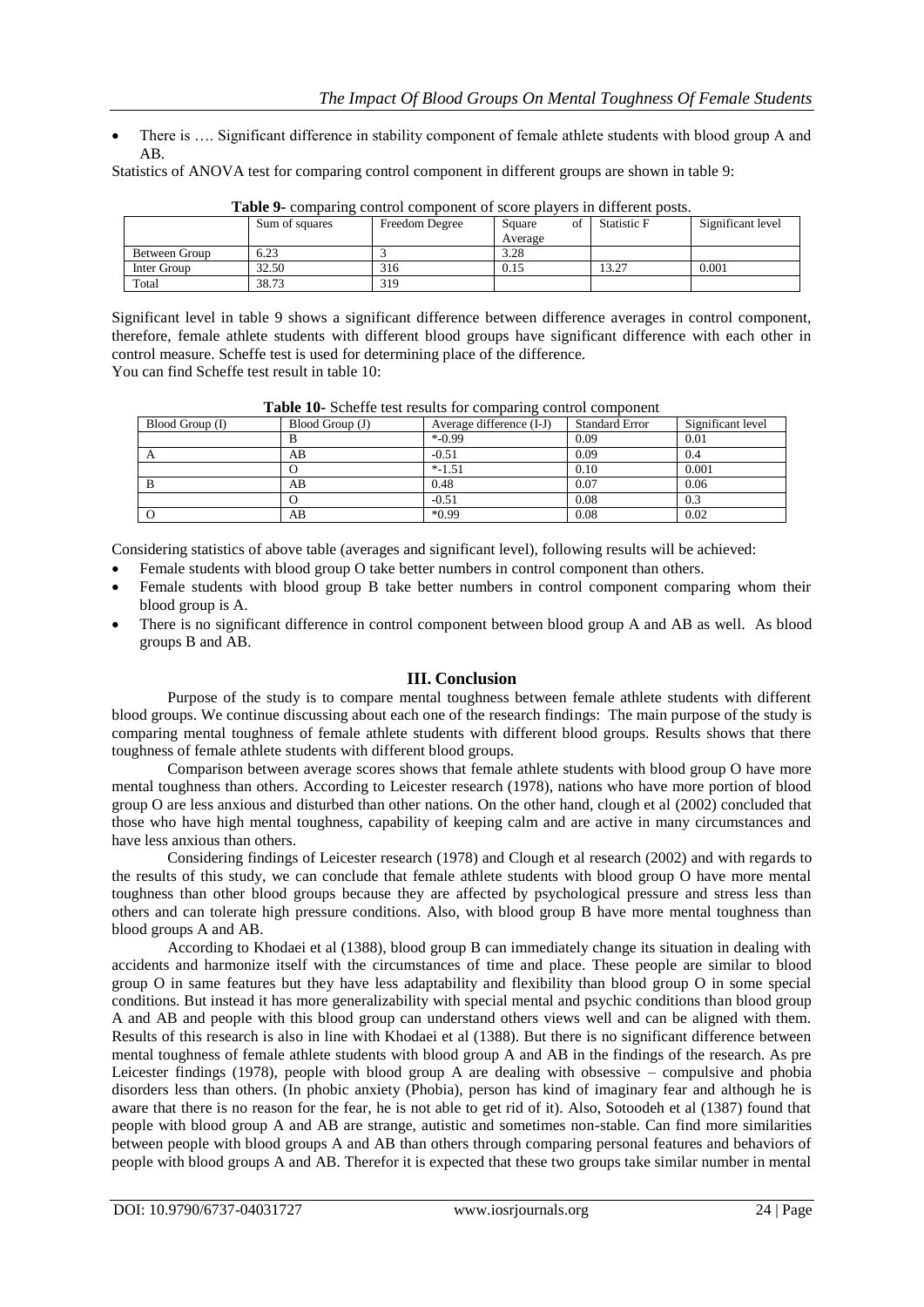There is …. Significant difference in stability component of female athlete students with blood group A and AB.

Statistics of ANOVA test for comparing control component in different groups are shown in table 9:

| Table 7- Combanne Control Combonem of Score blavers in unferent bosts. |                |                |              |                    |                   |  |
|------------------------------------------------------------------------|----------------|----------------|--------------|--------------------|-------------------|--|
|                                                                        | Sum of squares | Freedom Degree | of<br>Square | <b>Statistic F</b> | Significant level |  |
|                                                                        |                |                | Average      |                    |                   |  |
| Between Group                                                          | 6.23           |                | 3.28         |                    |                   |  |
| Inter Group                                                            | 32.50          | 316            | 0.15         | 13.27              | 0.001             |  |
| Total                                                                  | 38.73          | 319            |              |                    |                   |  |

**Table 9-** comparing control component of score players in different posts.

Significant level in table 9 shows a significant difference between difference averages in control component, therefore, female athlete students with different blood groups have significant difference with each other in control measure. Scheffe test is used for determining place of the difference. You can find Scheffe test result in table 10:

| Blood Group (I) | Blood Group (J) | Average difference (I-J) | <b>Standard Error</b> | Significant level |
|-----------------|-----------------|--------------------------|-----------------------|-------------------|
|                 |                 | $*$ -0.99                | 0.09                  | 0.01              |
| A               | AB              | $-0.51$                  | 0.09                  | 0.4               |
|                 |                 | $* -1.51$                | 0.10                  | 0.001             |
| в               | AB              | 0.48                     | 0.07                  | 0.06              |
|                 |                 | $-0.51$                  | 0.08                  | 0.3               |
|                 | AB              | $*0.99$                  | 0.08                  | 0.02              |

**Table 10-** Scheffe test results for comparing control component

Considering statistics of above table (averages and significant level), following results will be achieved:

- Female students with blood group O take better numbers in control component than others.
- Female students with blood group B take better numbers in control component comparing whom their blood group is A.
- There is no significant difference in control component between blood group A and AB as well. As blood groups B and AB.

## **III. Conclusion**

Purpose of the study is to compare mental toughness between female athlete students with different blood groups. We continue discussing about each one of the research findings: The main purpose of the study is comparing mental toughness of female athlete students with different blood groups. Results shows that there toughness of female athlete students with different blood groups.

Comparison between average scores shows that female athlete students with blood group O have more mental toughness than others. According to Leicester research (1978), nations who have more portion of blood group O are less anxious and disturbed than other nations. On the other hand, clough et al (2002) concluded that those who have high mental toughness, capability of keeping calm and are active in many circumstances and have less anxious than others.

Considering findings of Leicester research (1978) and Clough et al research (2002) and with regards to the results of this study, we can conclude that female athlete students with blood group O have more mental toughness than other blood groups because they are affected by psychological pressure and stress less than others and can tolerate high pressure conditions. Also, with blood group B have more mental toughness than blood groups A and AB.

According to Khodaei et al (1388), blood group B can immediately change its situation in dealing with accidents and harmonize itself with the circumstances of time and place. These people are similar to blood group O in same features but they have less adaptability and flexibility than blood group O in some special conditions. But instead it has more generalizability with special mental and psychic conditions than blood group A and AB and people with this blood group can understand others views well and can be aligned with them. Results of this research is also in line with Khodaei et al (1388). But there is no significant difference between mental toughness of female athlete students with blood group A and AB in the findings of the research. As pre Leicester findings (1978), people with blood group A are dealing with obsessive – compulsive and phobia disorders less than others. (In phobic anxiety (Phobia), person has kind of imaginary fear and although he is aware that there is no reason for the fear, he is not able to get rid of it). Also, Sotoodeh et al (1387) found that people with blood group A and AB are strange, autistic and sometimes non-stable. Can find more similarities between people with blood groups A and AB than others through comparing personal features and behaviors of people with blood groups A and AB. Therefor it is expected that these two groups take similar number in mental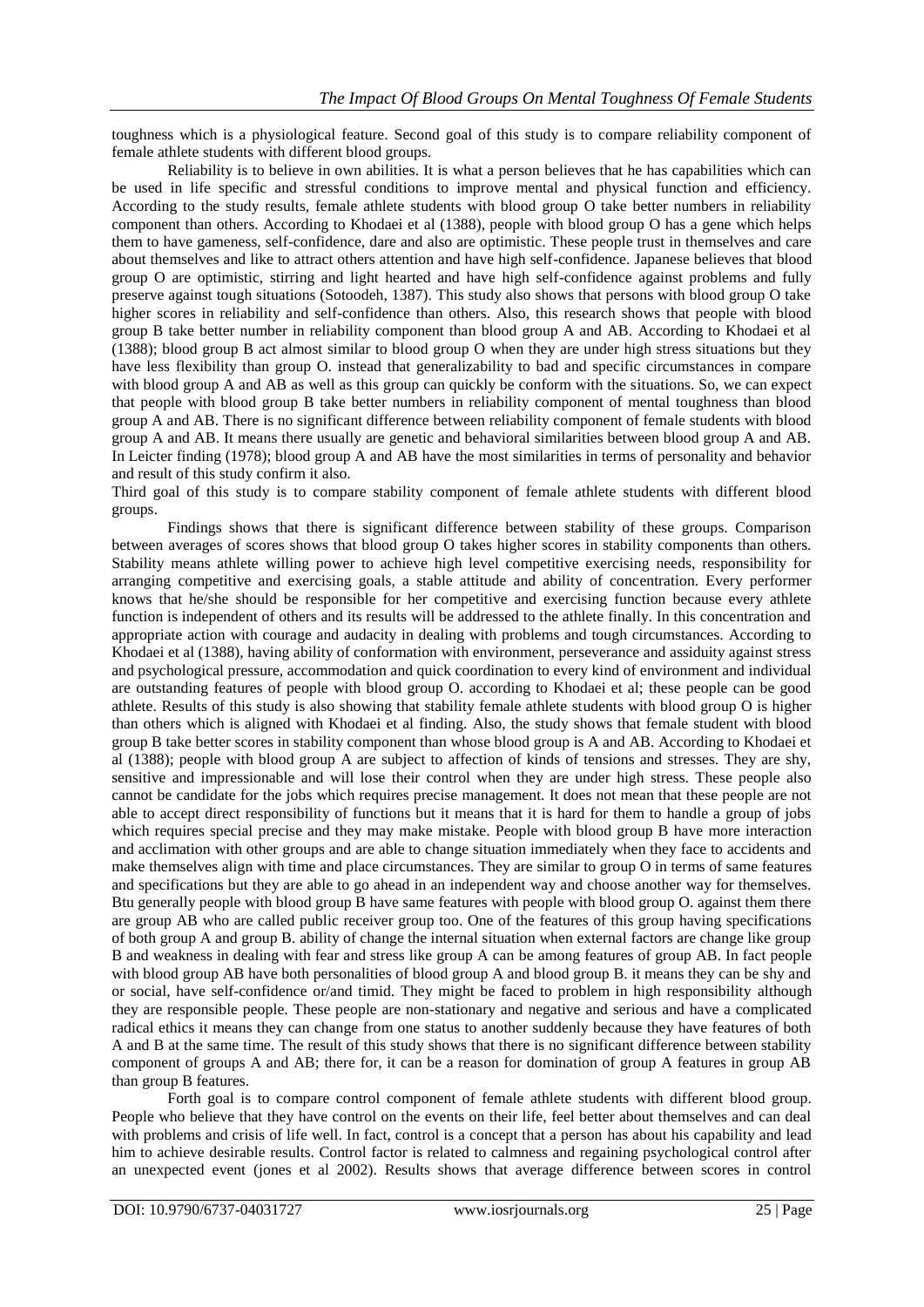toughness which is a physiological feature. Second goal of this study is to compare reliability component of female athlete students with different blood groups.

Reliability is to believe in own abilities. It is what a person believes that he has capabilities which can be used in life specific and stressful conditions to improve mental and physical function and efficiency. According to the study results, female athlete students with blood group O take better numbers in reliability component than others. According to Khodaei et al (1388), people with blood group O has a gene which helps them to have gameness, self-confidence, dare and also are optimistic. These people trust in themselves and care about themselves and like to attract others attention and have high self-confidence. Japanese believes that blood group O are optimistic, stirring and light hearted and have high self-confidence against problems and fully preserve against tough situations (Sotoodeh, 1387). This study also shows that persons with blood group O take higher scores in reliability and self-confidence than others. Also, this research shows that people with blood group B take better number in reliability component than blood group A and AB. According to Khodaei et al (1388); blood group B act almost similar to blood group O when they are under high stress situations but they have less flexibility than group O. instead that generalizability to bad and specific circumstances in compare with blood group A and AB as well as this group can quickly be conform with the situations. So, we can expect that people with blood group B take better numbers in reliability component of mental toughness than blood group A and AB. There is no significant difference between reliability component of female students with blood group A and AB. It means there usually are genetic and behavioral similarities between blood group A and AB. In Leicter finding (1978); blood group A and AB have the most similarities in terms of personality and behavior and result of this study confirm it also.

Third goal of this study is to compare stability component of female athlete students with different blood groups.

Findings shows that there is significant difference between stability of these groups. Comparison between averages of scores shows that blood group O takes higher scores in stability components than others. Stability means athlete willing power to achieve high level competitive exercising needs, responsibility for arranging competitive and exercising goals, a stable attitude and ability of concentration. Every performer knows that he/she should be responsible for her competitive and exercising function because every athlete function is independent of others and its results will be addressed to the athlete finally. In this concentration and appropriate action with courage and audacity in dealing with problems and tough circumstances. According to Khodaei et al (1388), having ability of conformation with environment, perseverance and assiduity against stress and psychological pressure, accommodation and quick coordination to every kind of environment and individual are outstanding features of people with blood group O. according to Khodaei et al; these people can be good athlete. Results of this study is also showing that stability female athlete students with blood group O is higher than others which is aligned with Khodaei et al finding. Also, the study shows that female student with blood group B take better scores in stability component than whose blood group is A and AB. According to Khodaei et al (1388); people with blood group A are subject to affection of kinds of tensions and stresses. They are shy, sensitive and impressionable and will lose their control when they are under high stress. These people also cannot be candidate for the jobs which requires precise management. It does not mean that these people are not able to accept direct responsibility of functions but it means that it is hard for them to handle a group of jobs which requires special precise and they may make mistake. People with blood group B have more interaction and acclimation with other groups and are able to change situation immediately when they face to accidents and make themselves align with time and place circumstances. They are similar to group O in terms of same features and specifications but they are able to go ahead in an independent way and choose another way for themselves. Btu generally people with blood group B have same features with people with blood group O. against them there are group AB who are called public receiver group too. One of the features of this group having specifications of both group A and group B. ability of change the internal situation when external factors are change like group B and weakness in dealing with fear and stress like group A can be among features of group AB. In fact people with blood group AB have both personalities of blood group A and blood group B. it means they can be shy and or social, have self-confidence or/and timid. They might be faced to problem in high responsibility although they are responsible people. These people are non-stationary and negative and serious and have a complicated radical ethics it means they can change from one status to another suddenly because they have features of both A and B at the same time. The result of this study shows that there is no significant difference between stability component of groups A and AB; there for, it can be a reason for domination of group A features in group AB than group B features.

Forth goal is to compare control component of female athlete students with different blood group. People who believe that they have control on the events on their life, feel better about themselves and can deal with problems and crisis of life well. In fact, control is a concept that a person has about his capability and lead him to achieve desirable results. Control factor is related to calmness and regaining psychological control after an unexpected event (jones et al 2002). Results shows that average difference between scores in control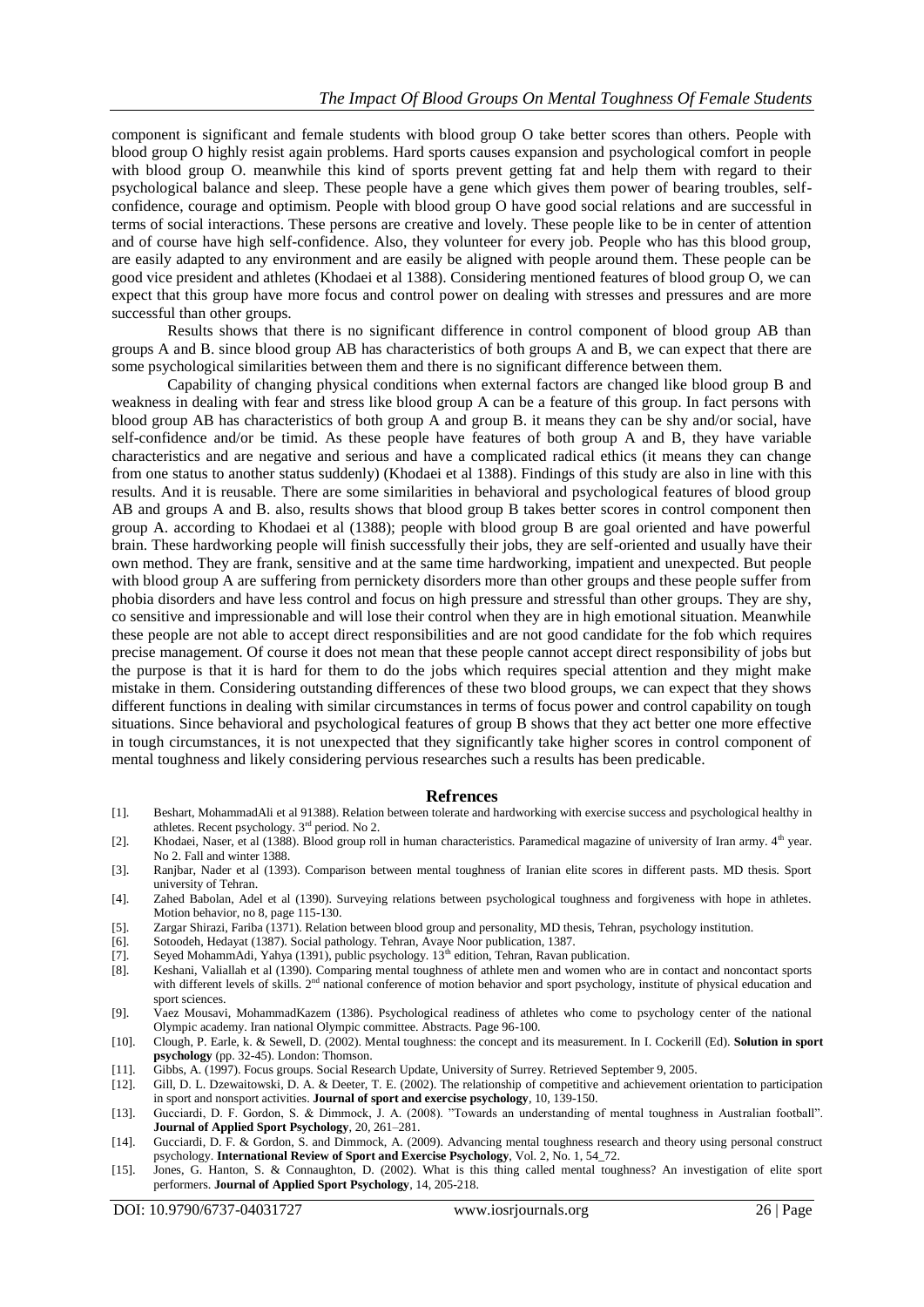component is significant and female students with blood group O take better scores than others. People with blood group O highly resist again problems. Hard sports causes expansion and psychological comfort in people with blood group O. meanwhile this kind of sports prevent getting fat and help them with regard to their psychological balance and sleep. These people have a gene which gives them power of bearing troubles, selfconfidence, courage and optimism. People with blood group O have good social relations and are successful in terms of social interactions. These persons are creative and lovely. These people like to be in center of attention and of course have high self-confidence. Also, they volunteer for every job. People who has this blood group, are easily adapted to any environment and are easily be aligned with people around them. These people can be good vice president and athletes (Khodaei et al 1388). Considering mentioned features of blood group O, we can expect that this group have more focus and control power on dealing with stresses and pressures and are more successful than other groups.

Results shows that there is no significant difference in control component of blood group AB than groups A and B. since blood group AB has characteristics of both groups A and B, we can expect that there are some psychological similarities between them and there is no significant difference between them.

Capability of changing physical conditions when external factors are changed like blood group B and weakness in dealing with fear and stress like blood group A can be a feature of this group. In fact persons with blood group AB has characteristics of both group A and group B. it means they can be shy and/or social, have self-confidence and/or be timid. As these people have features of both group A and B, they have variable characteristics and are negative and serious and have a complicated radical ethics (it means they can change from one status to another status suddenly) (Khodaei et al 1388). Findings of this study are also in line with this results. And it is reusable. There are some similarities in behavioral and psychological features of blood group AB and groups A and B, also, results shows that blood group B takes better scores in control component then group A. according to Khodaei et al (1388); people with blood group B are goal oriented and have powerful brain. These hardworking people will finish successfully their jobs, they are self-oriented and usually have their own method. They are frank, sensitive and at the same time hardworking, impatient and unexpected. But people with blood group A are suffering from pernickety disorders more than other groups and these people suffer from phobia disorders and have less control and focus on high pressure and stressful than other groups. They are shy, co sensitive and impressionable and will lose their control when they are in high emotional situation. Meanwhile these people are not able to accept direct responsibilities and are not good candidate for the fob which requires precise management. Of course it does not mean that these people cannot accept direct responsibility of jobs but the purpose is that it is hard for them to do the jobs which requires special attention and they might make mistake in them. Considering outstanding differences of these two blood groups, we can expect that they shows different functions in dealing with similar circumstances in terms of focus power and control capability on tough situations. Since behavioral and psychological features of group B shows that they act better one more effective in tough circumstances, it is not unexpected that they significantly take higher scores in control component of mental toughness and likely considering pervious researches such a results has been predicable.

#### **Refrences**

- [1]. Beshart, MohammadAli et al 91388). Relation between tolerate and hardworking with exercise success and psychological healthy in athletes. Recent psychology. 3rd period. No 2.
- [2]. Khodaei, Naser, et al (1388). Blood group roll in human characteristics. Paramedical magazine of university of Iran army. 4<sup>th</sup> year. No 2. Fall and winter 1388.
- [3]. Ranjbar, Nader et al (1393). Comparison between mental toughness of Iranian elite scores in different pasts. MD thesis. Sport university of Tehran.
- [4]. Zahed Babolan, Adel et al (1390). Surveying relations between psychological toughness and forgiveness with hope in athletes. Motion behavior, no 8, page 115-130.
- [5]. Zargar Shirazi, Fariba (1371). Relation between blood group and personality, MD thesis, Tehran, psychology institution.
- [6]. Sotoodeh, Hedayat (1387). Social pathology. Tehran, Avaye Noor publication, 1387.
- [7]. Seyed MohammAdi, Yahya (1391), public psychology. 13<sup>th</sup> edition, Tehran, Ravan publication.
- [8]. Keshani, Valiallah et al (1390). Comparing mental toughness of athlete men and women who are in contact and noncontact sports with different levels of skills. 2<sup>nd</sup> national conference of motion behavior and sport psychology, institute of physical education and sport sciences.
- [9]. Vaez Mousavi, MohammadKazem (1386). Psychological readiness of athletes who come to psychology center of the national Olympic academy. Iran national Olympic committee. Abstracts. Page 96-100.
- [10]. Clough, P. Earle, k. & Sewell, D. (2002). Mental toughness: the concept and its measurement. In I. Cockerill (Ed). **Solution in sport psychology** (pp. 32-45). London: Thomson.
- [11]. Gibbs, A. (1997). Focus groups. Social Research Update, University of Surrey. Retrieved September 9, 2005.
- [12]. Gill, D. L. Dzewaitowski, D. A. & Deeter, T. E. (2002). The relationship of competitive and achievement orientation to participation in sport and nonsport activities. **Journal of sport and exercise psychology**, 10, 139-150.
- [13]. Gucciardi, D. F. Gordon, S. & Dimmock, J. A. (2008). "Towards an understanding of mental toughness in Australian football". **Journal of Applied Sport Psychology**, 20, 261–281.
- [14]. Gucciardi, D. F. & Gordon, S. and Dimmock, A. (2009). Advancing mental toughness research and theory using personal construct psychology. **International Review of Sport and Exercise Psychology**, Vol. 2, No. 1, 54\_72.
- [15]. Jones, G. Hanton, S. & Connaughton, D. (2002). What is this thing called mental toughness? An investigation of elite sport performers. **Journal of Applied Sport Psychology**, 14, 205-218.